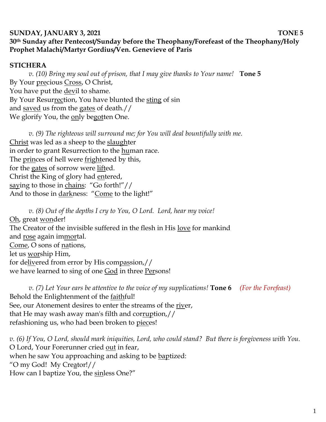## **SUNDAY, JANUARY 3, 2021 TONE 5 30th Sunday after Pentecost/Sunday before the Theophany/Forefeast of the Theophany/Holy Prophet Malachi/Martyr Gordius/Ven. Genevieve of Paris**

## **STICHERA**

*v. (10) Bring my soul out of prison, that I may give thanks to Your name!* **Tone 5**  By Your precious Cross, O Christ, You have put the devil to shame. By Your Resurrection, You have blunted the sting of sin and saved us from the gates of death.// We glorify You, the only begotten One.

*v.* (9) The righteous will surround me; for You will deal bountifully with me. Christ was led as a sheep to the slaughter in order to grant Resurrection to the human race. The princes of hell were frightened by this, for the gates of sorrow were lifted. Christ the King of glory had entered, saying to those in chains: "Go forth!"// And to those in darkness: "Come to the light!"

*v. (8) Out of the depths I cry to You, O Lord. Lord, hear my voice!*  Oh, great wonder! The Creator of the invisible suffered in the flesh in His love for mankind and <u>rose</u> again im<u>mor</u>tal. Come, O sons of nations, let us worship Him, for delivered from error by His compassion,// we have learned to sing of one God in three Persons!

*v. (7) Let Your ears be attentive to the voice of my supplications!* **Tone 6** *(For the Forefeast)* Behold the Enlightenment of the faithful! See, our Atonement desires to enter the streams of the river, that He may wash away man's filth and corruption,// refashioning us, who had been broken to pieces!

*v. (6) If You, O Lord, should mark iniquities, Lord, who could stand? But there is forgiveness with You.*  O Lord, Your Forerunner cried out in fear, when he saw You approaching and asking to be baptized: "O my God! My Creator!// How can I baptize You, the sinless One?"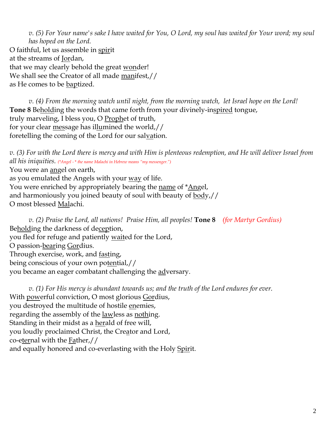*v. (5) For Your name's sake I have waited for You, O Lord, my soul has waited for Your word; my soul has hoped on the Lord.*  O faithful, let us assemble in spirit at the streams of Jordan, that we may clearly behold the great wonder! We shall see the Creator of all made manifest,// as He comes to be <u>bap</u>tized.

*v.* (4) From the morning watch until night, from the morning watch, let Israel hope on the Lord! **Tone 8** Beholding the words that came forth from your divinely-inspired tongue, truly marveling, I bless you, O Prophet of truth, for your clear message has illumined the world,// foretelling the coming of the Lord for our salvation.

*v. (3) For with the Lord there is mercy and with Him is plenteous redemption, and He will deliver Israel from all his iniquities. (\*Angel -* \* *the name Malachi in Hebrew means "my messenger.")* You were an angel on earth, as you emulated the Angels with your way of life. You were enriched by appropriately bearing the name of \*Angel, and harmoniously you joined beauty of soul with beauty of body,// O most blessed Malachi.

*v. (2) Praise the Lord, all nations! Praise Him, all peoples!* **Tone 8** *(for Martyr Gordius)* Beholding the darkness of deception, you fled for refuge and patiently waited for the Lord, O passion-bearing Gordius. Through exercise, work, and fasting, being conscious of your own potential,// you became an eager combatant challenging the adversary.

*v. (1) For His mercy is abundant towards us; and the truth of the Lord endures for ever.*  With powerful conviction, O most glorious Gordius, you destroyed the multitude of hostile enemies, regarding the assembly of the <u>lawless as nothing</u>. Standing in their midst as a herald of free will, you loudly proclaimed Christ, the Creator and Lord, co-eternal with the Father,// and equally honored and co-everlasting with the Holy Spirit.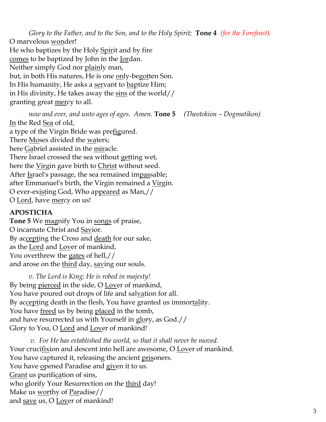*Glory to the Father, and to the Son, and to the Holy Spirit;* **Tone 4** *(for the Forefeast)* O marvelous wonder! He who baptizes by the Holy Spirit and by fire comes to be baptized by John in the Jordan. Neither simply God nor plainly man, but, in both His natures, He is one only-begotten Son. In His humanity, He asks a servant to baptize Him; in His divinity, He takes away the  $\frac{\sin s}{\sin s}$  of the world// granting great mercy to all.

*now and ever, and unto ages of ages. Amen.* **Tone 5** *(Theotokion – Dogmatikon)*

In the Red Sea of old, a type of the Virgin Bride was prefigured. There Moses divided the waters; here Gabriel assisted in the miracle. There Israel crossed the sea without getting wet, here the <u>Virgin</u> gave birth to Christ without seed. After Israel's passage, the sea remained impassable; after Emmanuel's birth, the Virgin remained a <u>Virg</u>in. O ever-existing God, Who appeared as Man,// O Lord, have mercy on us!

## **APOSTICHA**

**Tone 5** We magnify You in songs of praise, O incarnate Christ and Savior. By accepting the Cross and death for our sake, as the Lord and Lover of mankind, You overthrew the gates of hell,// and arose on the <u>third</u> day, saving our souls.

*v. The Lord is King; He is robed in majesty!*  By being <u>pierced</u> in the side, O <u>Lov</u>er of mankind, You have poured out drops of life and salvation for all. By accepting death in the flesh, You have granted us immortality. You have freed us by being placed in the tomb, and have resurrected us with Yourself in glory, as God.// Glory to You, O Lord and Lover of mankind!

*v. For He has established the world, so that it shall never be moved.* Your crucifixion and descent into hell are awesome, O Lover of mankind. You have captured it, releasing the ancient prisoners. You have opened Paradise and given it to us. Grant us purification of sins, who glorify Your Resurrection on the third day! Make us <u>worthy</u> of <u>Paradise</u>// and save us, O Lover of mankind!